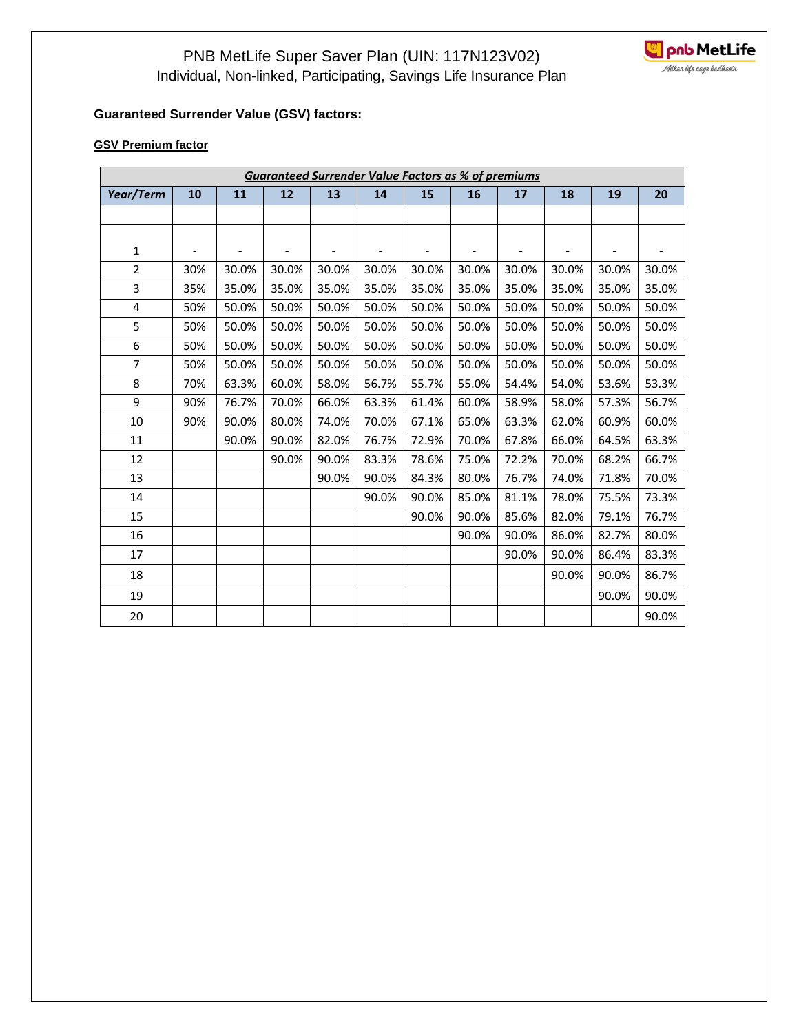

#### **Guaranteed Surrender Value (GSV) factors:**

#### **GSV Premium factor**

| <b>Guaranteed Surrender Value Factors as % of premiums</b> |     |       |       |       |       |       |       |       |       |       |       |  |
|------------------------------------------------------------|-----|-------|-------|-------|-------|-------|-------|-------|-------|-------|-------|--|
| Year/Term                                                  | 10  | 11    | 12    | 13    | 14    | 15    | 16    | 17    | 18    | 19    | 20    |  |
|                                                            |     |       |       |       |       |       |       |       |       |       |       |  |
|                                                            |     |       |       |       |       |       |       |       |       |       |       |  |
| 1                                                          | -   |       |       |       |       |       |       |       |       |       |       |  |
| $\overline{2}$                                             | 30% | 30.0% | 30.0% | 30.0% | 30.0% | 30.0% | 30.0% | 30.0% | 30.0% | 30.0% | 30.0% |  |
| 3                                                          | 35% | 35.0% | 35.0% | 35.0% | 35.0% | 35.0% | 35.0% | 35.0% | 35.0% | 35.0% | 35.0% |  |
| 4                                                          | 50% | 50.0% | 50.0% | 50.0% | 50.0% | 50.0% | 50.0% | 50.0% | 50.0% | 50.0% | 50.0% |  |
| 5                                                          | 50% | 50.0% | 50.0% | 50.0% | 50.0% | 50.0% | 50.0% | 50.0% | 50.0% | 50.0% | 50.0% |  |
| 6                                                          | 50% | 50.0% | 50.0% | 50.0% | 50.0% | 50.0% | 50.0% | 50.0% | 50.0% | 50.0% | 50.0% |  |
| 7                                                          | 50% | 50.0% | 50.0% | 50.0% | 50.0% | 50.0% | 50.0% | 50.0% | 50.0% | 50.0% | 50.0% |  |
| 8                                                          | 70% | 63.3% | 60.0% | 58.0% | 56.7% | 55.7% | 55.0% | 54.4% | 54.0% | 53.6% | 53.3% |  |
| 9                                                          | 90% | 76.7% | 70.0% | 66.0% | 63.3% | 61.4% | 60.0% | 58.9% | 58.0% | 57.3% | 56.7% |  |
| 10                                                         | 90% | 90.0% | 80.0% | 74.0% | 70.0% | 67.1% | 65.0% | 63.3% | 62.0% | 60.9% | 60.0% |  |
| 11                                                         |     | 90.0% | 90.0% | 82.0% | 76.7% | 72.9% | 70.0% | 67.8% | 66.0% | 64.5% | 63.3% |  |
| 12                                                         |     |       | 90.0% | 90.0% | 83.3% | 78.6% | 75.0% | 72.2% | 70.0% | 68.2% | 66.7% |  |
| 13                                                         |     |       |       | 90.0% | 90.0% | 84.3% | 80.0% | 76.7% | 74.0% | 71.8% | 70.0% |  |
| 14                                                         |     |       |       |       | 90.0% | 90.0% | 85.0% | 81.1% | 78.0% | 75.5% | 73.3% |  |
| 15                                                         |     |       |       |       |       | 90.0% | 90.0% | 85.6% | 82.0% | 79.1% | 76.7% |  |
| 16                                                         |     |       |       |       |       |       | 90.0% | 90.0% | 86.0% | 82.7% | 80.0% |  |
| 17                                                         |     |       |       |       |       |       |       | 90.0% | 90.0% | 86.4% | 83.3% |  |
| 18                                                         |     |       |       |       |       |       |       |       | 90.0% | 90.0% | 86.7% |  |
| 19                                                         |     |       |       |       |       |       |       |       |       | 90.0% | 90.0% |  |
| 20                                                         |     |       |       |       |       |       |       |       |       |       | 90.0% |  |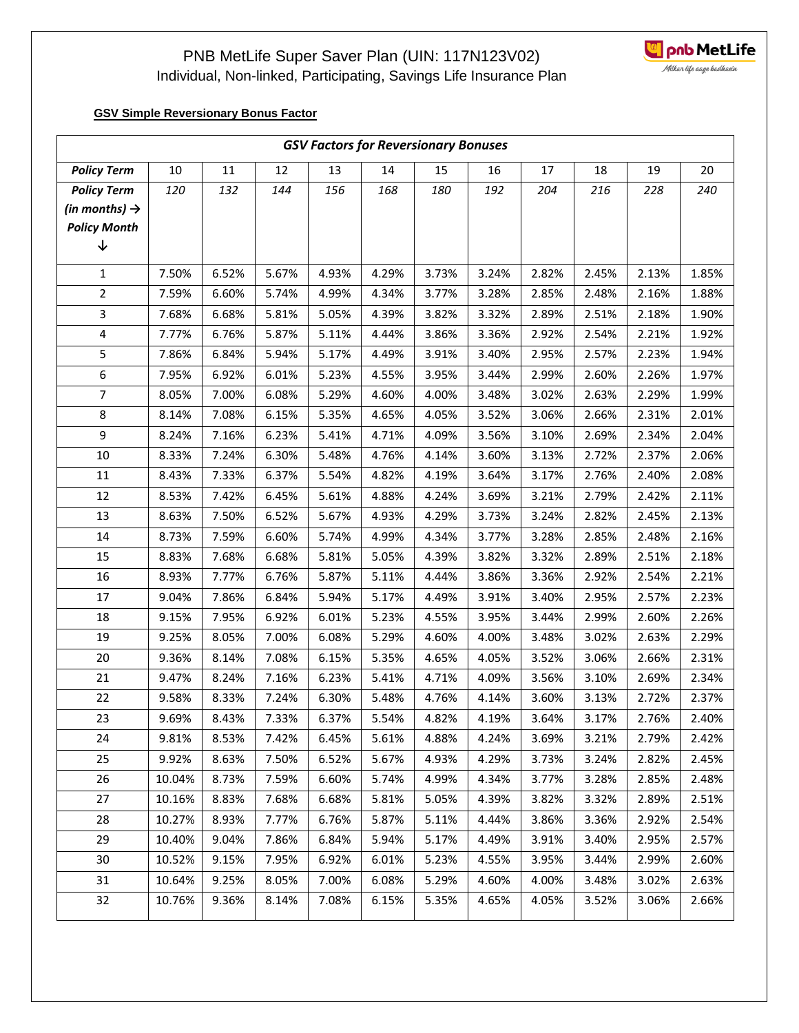

**GSV Simple Reversionary Bonus Factor**

| <b>GSV Factors for Reversionary Bonuses</b> |        |       |       |       |       |       |       |       |       |       |       |  |
|---------------------------------------------|--------|-------|-------|-------|-------|-------|-------|-------|-------|-------|-------|--|
| <b>Policy Term</b>                          | 10     | 11    | 12    | 13    | 14    | 15    | 16    | 17    | 18    | 19    | 20    |  |
| <b>Policy Term</b>                          | 120    | 132   | 144   | 156   | 168   | 180   | 192   | 204   | 216   | 228   | 240   |  |
| (in months) $\rightarrow$                   |        |       |       |       |       |       |       |       |       |       |       |  |
| <b>Policy Month</b>                         |        |       |       |       |       |       |       |       |       |       |       |  |
| ↓                                           |        |       |       |       |       |       |       |       |       |       |       |  |
| 1                                           | 7.50%  | 6.52% | 5.67% | 4.93% | 4.29% | 3.73% | 3.24% | 2.82% | 2.45% | 2.13% | 1.85% |  |
| $\overline{2}$                              | 7.59%  | 6.60% | 5.74% | 4.99% | 4.34% | 3.77% | 3.28% | 2.85% | 2.48% | 2.16% | 1.88% |  |
| 3                                           | 7.68%  | 6.68% | 5.81% | 5.05% | 4.39% | 3.82% | 3.32% | 2.89% | 2.51% | 2.18% | 1.90% |  |
| 4                                           | 7.77%  | 6.76% | 5.87% | 5.11% | 4.44% | 3.86% | 3.36% | 2.92% | 2.54% | 2.21% | 1.92% |  |
| 5                                           | 7.86%  | 6.84% | 5.94% | 5.17% | 4.49% | 3.91% | 3.40% | 2.95% | 2.57% | 2.23% | 1.94% |  |
| 6                                           | 7.95%  | 6.92% | 6.01% | 5.23% | 4.55% | 3.95% | 3.44% | 2.99% | 2.60% | 2.26% | 1.97% |  |
| 7                                           | 8.05%  | 7.00% | 6.08% | 5.29% | 4.60% | 4.00% | 3.48% | 3.02% | 2.63% | 2.29% | 1.99% |  |
| 8                                           | 8.14%  | 7.08% | 6.15% | 5.35% | 4.65% | 4.05% | 3.52% | 3.06% | 2.66% | 2.31% | 2.01% |  |
| 9                                           | 8.24%  | 7.16% | 6.23% | 5.41% | 4.71% | 4.09% | 3.56% | 3.10% | 2.69% | 2.34% | 2.04% |  |
| $10\,$                                      | 8.33%  | 7.24% | 6.30% | 5.48% | 4.76% | 4.14% | 3.60% | 3.13% | 2.72% | 2.37% | 2.06% |  |
| $11\,$                                      | 8.43%  | 7.33% | 6.37% | 5.54% | 4.82% | 4.19% | 3.64% | 3.17% | 2.76% | 2.40% | 2.08% |  |
| 12                                          | 8.53%  | 7.42% | 6.45% | 5.61% | 4.88% | 4.24% | 3.69% | 3.21% | 2.79% | 2.42% | 2.11% |  |
| 13                                          | 8.63%  | 7.50% | 6.52% | 5.67% | 4.93% | 4.29% | 3.73% | 3.24% | 2.82% | 2.45% | 2.13% |  |
| 14                                          | 8.73%  | 7.59% | 6.60% | 5.74% | 4.99% | 4.34% | 3.77% | 3.28% | 2.85% | 2.48% | 2.16% |  |
| 15                                          | 8.83%  | 7.68% | 6.68% | 5.81% | 5.05% | 4.39% | 3.82% | 3.32% | 2.89% | 2.51% | 2.18% |  |
| 16                                          | 8.93%  | 7.77% | 6.76% | 5.87% | 5.11% | 4.44% | 3.86% | 3.36% | 2.92% | 2.54% | 2.21% |  |
| 17                                          | 9.04%  | 7.86% | 6.84% | 5.94% | 5.17% | 4.49% | 3.91% | 3.40% | 2.95% | 2.57% | 2.23% |  |
| 18                                          | 9.15%  | 7.95% | 6.92% | 6.01% | 5.23% | 4.55% | 3.95% | 3.44% | 2.99% | 2.60% | 2.26% |  |
| 19                                          | 9.25%  | 8.05% | 7.00% | 6.08% | 5.29% | 4.60% | 4.00% | 3.48% | 3.02% | 2.63% | 2.29% |  |
| 20                                          | 9.36%  | 8.14% | 7.08% | 6.15% | 5.35% | 4.65% | 4.05% | 3.52% | 3.06% | 2.66% | 2.31% |  |
| 21                                          | 9.47%  | 8.24% | 7.16% | 6.23% | 5.41% | 4.71% | 4.09% | 3.56% | 3.10% | 2.69% | 2.34% |  |
| 22                                          | 9.58%  | 8.33% | 7.24% | 6.30% | 5.48% | 4.76% | 4.14% | 3.60% | 3.13% | 2.72% | 2.37% |  |
| 23                                          | 9.69%  | 8.43% | 7.33% | 6.37% | 5.54% | 4.82% | 4.19% | 3.64% | 3.17% | 2.76% | 2.40% |  |
| 24                                          | 9.81%  | 8.53% | 7.42% | 6.45% | 5.61% | 4.88% | 4.24% | 3.69% | 3.21% | 2.79% | 2.42% |  |
| 25                                          | 9.92%  | 8.63% | 7.50% | 6.52% | 5.67% | 4.93% | 4.29% | 3.73% | 3.24% | 2.82% | 2.45% |  |
| 26                                          | 10.04% | 8.73% | 7.59% | 6.60% | 5.74% | 4.99% | 4.34% | 3.77% | 3.28% | 2.85% | 2.48% |  |
| 27                                          | 10.16% | 8.83% | 7.68% | 6.68% | 5.81% | 5.05% | 4.39% | 3.82% | 3.32% | 2.89% | 2.51% |  |
| 28                                          | 10.27% | 8.93% | 7.77% | 6.76% | 5.87% | 5.11% | 4.44% | 3.86% | 3.36% | 2.92% | 2.54% |  |
| 29                                          | 10.40% | 9.04% | 7.86% | 6.84% | 5.94% | 5.17% | 4.49% | 3.91% | 3.40% | 2.95% | 2.57% |  |
| 30                                          | 10.52% | 9.15% | 7.95% | 6.92% | 6.01% | 5.23% | 4.55% | 3.95% | 3.44% | 2.99% | 2.60% |  |
| 31                                          | 10.64% | 9.25% | 8.05% | 7.00% | 6.08% | 5.29% | 4.60% | 4.00% | 3.48% | 3.02% | 2.63% |  |
| 32                                          | 10.76% | 9.36% | 8.14% | 7.08% | 6.15% | 5.35% | 4.65% | 4.05% | 3.52% | 3.06% | 2.66% |  |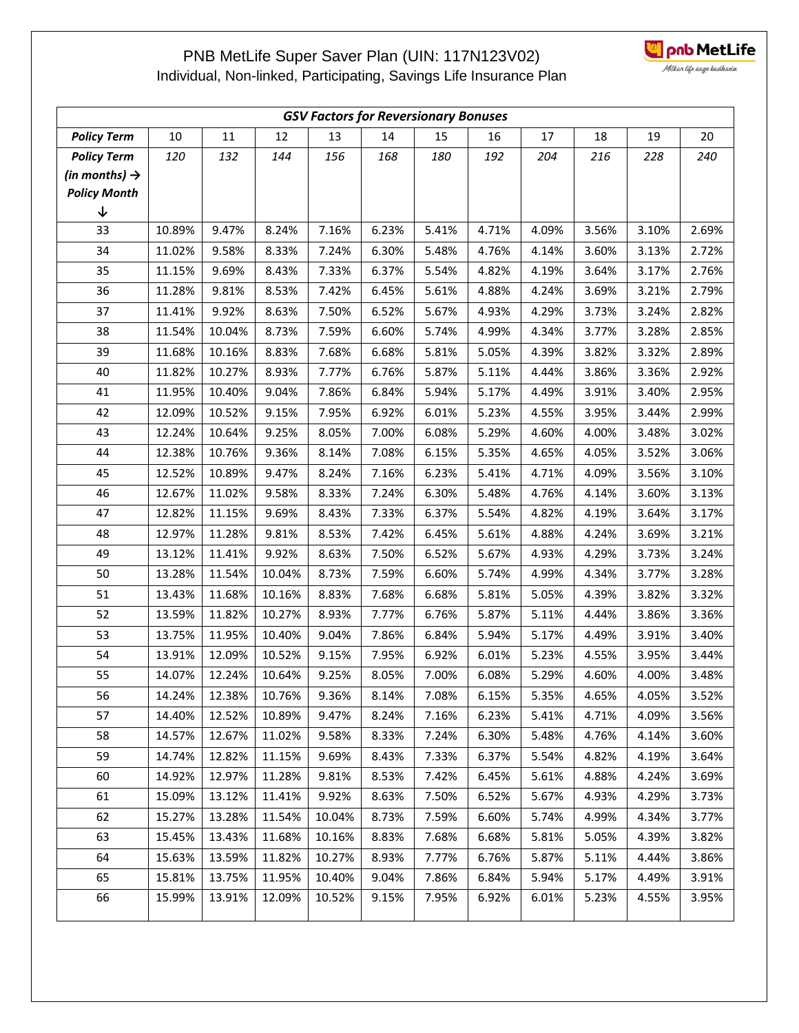

| <b>GSV Factors for Reversionary Bonuses</b> |        |        |        |        |       |       |       |       |       |       |       |  |
|---------------------------------------------|--------|--------|--------|--------|-------|-------|-------|-------|-------|-------|-------|--|
| <b>Policy Term</b>                          | 10     | $11\,$ | 12     | 13     | 14    | 15    | 16    | 17    | 18    | 19    | 20    |  |
| <b>Policy Term</b>                          | 120    | 132    | 144    | 156    | 168   | 180   | 192   | 204   | 216   | 228   | 240   |  |
| (in months) $\rightarrow$                   |        |        |        |        |       |       |       |       |       |       |       |  |
| <b>Policy Month</b>                         |        |        |        |        |       |       |       |       |       |       |       |  |
| ↓                                           |        |        |        |        |       |       |       |       |       |       |       |  |
| 33                                          | 10.89% | 9.47%  | 8.24%  | 7.16%  | 6.23% | 5.41% | 4.71% | 4.09% | 3.56% | 3.10% | 2.69% |  |
| 34                                          | 11.02% | 9.58%  | 8.33%  | 7.24%  | 6.30% | 5.48% | 4.76% | 4.14% | 3.60% | 3.13% | 2.72% |  |
| 35                                          | 11.15% | 9.69%  | 8.43%  | 7.33%  | 6.37% | 5.54% | 4.82% | 4.19% | 3.64% | 3.17% | 2.76% |  |
| 36                                          | 11.28% | 9.81%  | 8.53%  | 7.42%  | 6.45% | 5.61% | 4.88% | 4.24% | 3.69% | 3.21% | 2.79% |  |
| 37                                          | 11.41% | 9.92%  | 8.63%  | 7.50%  | 6.52% | 5.67% | 4.93% | 4.29% | 3.73% | 3.24% | 2.82% |  |
| 38                                          | 11.54% | 10.04% | 8.73%  | 7.59%  | 6.60% | 5.74% | 4.99% | 4.34% | 3.77% | 3.28% | 2.85% |  |
| 39                                          | 11.68% | 10.16% | 8.83%  | 7.68%  | 6.68% | 5.81% | 5.05% | 4.39% | 3.82% | 3.32% | 2.89% |  |
| 40                                          | 11.82% | 10.27% | 8.93%  | 7.77%  | 6.76% | 5.87% | 5.11% | 4.44% | 3.86% | 3.36% | 2.92% |  |
| 41                                          | 11.95% | 10.40% | 9.04%  | 7.86%  | 6.84% | 5.94% | 5.17% | 4.49% | 3.91% | 3.40% | 2.95% |  |
| 42                                          | 12.09% | 10.52% | 9.15%  | 7.95%  | 6.92% | 6.01% | 5.23% | 4.55% | 3.95% | 3.44% | 2.99% |  |
| 43                                          | 12.24% | 10.64% | 9.25%  | 8.05%  | 7.00% | 6.08% | 5.29% | 4.60% | 4.00% | 3.48% | 3.02% |  |
| 44                                          | 12.38% | 10.76% | 9.36%  | 8.14%  | 7.08% | 6.15% | 5.35% | 4.65% | 4.05% | 3.52% | 3.06% |  |
| 45                                          | 12.52% | 10.89% | 9.47%  | 8.24%  | 7.16% | 6.23% | 5.41% | 4.71% | 4.09% | 3.56% | 3.10% |  |
| 46                                          | 12.67% | 11.02% | 9.58%  | 8.33%  | 7.24% | 6.30% | 5.48% | 4.76% | 4.14% | 3.60% | 3.13% |  |
| 47                                          | 12.82% | 11.15% | 9.69%  | 8.43%  | 7.33% | 6.37% | 5.54% | 4.82% | 4.19% | 3.64% | 3.17% |  |
| 48                                          | 12.97% | 11.28% | 9.81%  | 8.53%  | 7.42% | 6.45% | 5.61% | 4.88% | 4.24% | 3.69% | 3.21% |  |
| 49                                          | 13.12% | 11.41% | 9.92%  | 8.63%  | 7.50% | 6.52% | 5.67% | 4.93% | 4.29% | 3.73% | 3.24% |  |
| 50                                          | 13.28% | 11.54% | 10.04% | 8.73%  | 7.59% | 6.60% | 5.74% | 4.99% | 4.34% | 3.77% | 3.28% |  |
| 51                                          | 13.43% | 11.68% | 10.16% | 8.83%  | 7.68% | 6.68% | 5.81% | 5.05% | 4.39% | 3.82% | 3.32% |  |
| 52                                          | 13.59% | 11.82% | 10.27% | 8.93%  | 7.77% | 6.76% | 5.87% | 5.11% | 4.44% | 3.86% | 3.36% |  |
| 53                                          | 13.75% | 11.95% | 10.40% | 9.04%  | 7.86% | 6.84% | 5.94% | 5.17% | 4.49% | 3.91% | 3.40% |  |
| 54                                          | 13.91% | 12.09% | 10.52% | 9.15%  | 7.95% | 6.92% | 6.01% | 5.23% | 4.55% | 3.95% | 3.44% |  |
| 55                                          | 14.07% | 12.24% | 10.64% | 9.25%  | 8.05% | 7.00% | 6.08% | 5.29% | 4.60% | 4.00% | 3.48% |  |
| 56                                          | 14.24% | 12.38% | 10.76% | 9.36%  | 8.14% | 7.08% | 6.15% | 5.35% | 4.65% | 4.05% | 3.52% |  |
| 57                                          | 14.40% | 12.52% | 10.89% | 9.47%  | 8.24% | 7.16% | 6.23% | 5.41% | 4.71% | 4.09% | 3.56% |  |
| 58                                          | 14.57% | 12.67% | 11.02% | 9.58%  | 8.33% | 7.24% | 6.30% | 5.48% | 4.76% | 4.14% | 3.60% |  |
| 59                                          | 14.74% | 12.82% | 11.15% | 9.69%  | 8.43% | 7.33% | 6.37% | 5.54% | 4.82% | 4.19% | 3.64% |  |
| 60                                          | 14.92% | 12.97% | 11.28% | 9.81%  | 8.53% | 7.42% | 6.45% | 5.61% | 4.88% | 4.24% | 3.69% |  |
| 61                                          | 15.09% | 13.12% | 11.41% | 9.92%  | 8.63% | 7.50% | 6.52% | 5.67% | 4.93% | 4.29% | 3.73% |  |
| 62                                          | 15.27% | 13.28% | 11.54% | 10.04% | 8.73% | 7.59% | 6.60% | 5.74% | 4.99% | 4.34% | 3.77% |  |
| 63                                          | 15.45% | 13.43% | 11.68% | 10.16% | 8.83% | 7.68% | 6.68% | 5.81% | 5.05% | 4.39% | 3.82% |  |
| 64                                          | 15.63% | 13.59% | 11.82% | 10.27% | 8.93% | 7.77% | 6.76% | 5.87% | 5.11% | 4.44% | 3.86% |  |
| 65                                          | 15.81% | 13.75% | 11.95% | 10.40% | 9.04% | 7.86% | 6.84% | 5.94% | 5.17% | 4.49% | 3.91% |  |
| 66                                          | 15.99% | 13.91% | 12.09% | 10.52% | 9.15% | 7.95% | 6.92% | 6.01% | 5.23% | 4.55% | 3.95% |  |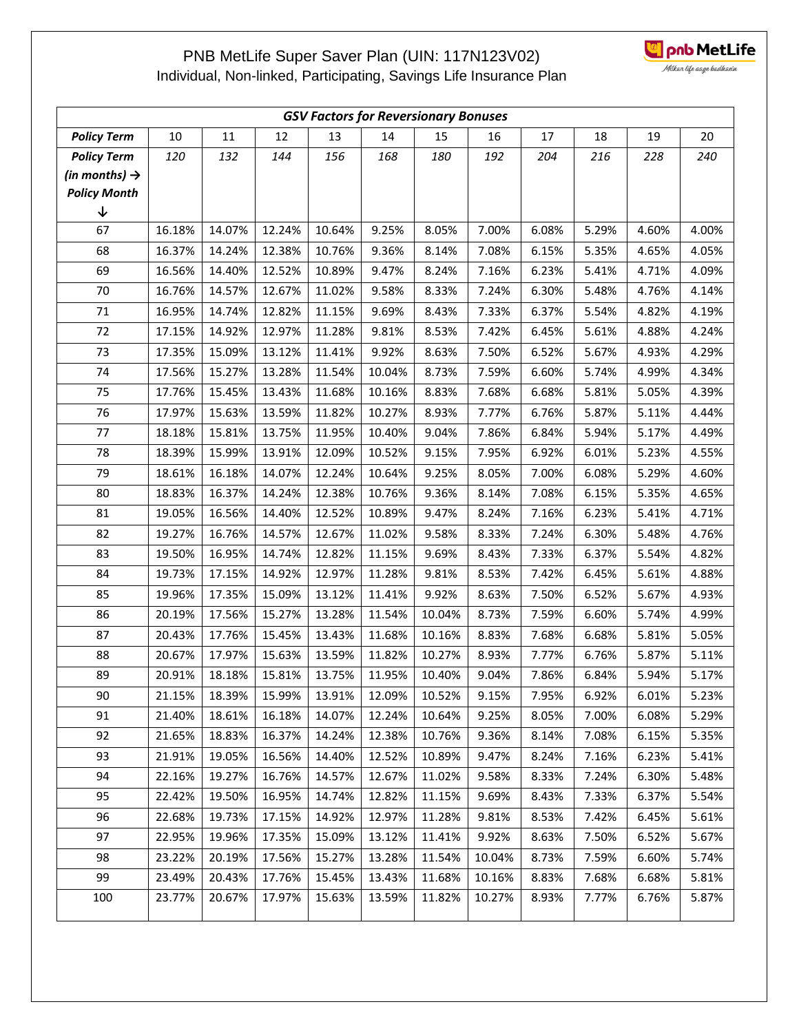

| <b>GSV Factors for Reversionary Bonuses</b>                            |        |        |        |        |        |        |        |       |       |       |       |
|------------------------------------------------------------------------|--------|--------|--------|--------|--------|--------|--------|-------|-------|-------|-------|
| <b>Policy Term</b>                                                     | 10     | 11     | 12     | 13     | 14     | 15     | 16     | 17    | 18    | 19    | 20    |
| <b>Policy Term</b><br>(in months) $\rightarrow$<br><b>Policy Month</b> | 120    | 132    | 144    | 156    | 168    | 180    | 192    | 204   | 216   | 228   | 240   |
| ↓                                                                      |        |        |        |        |        |        |        |       |       |       |       |
| 67                                                                     | 16.18% | 14.07% | 12.24% | 10.64% | 9.25%  | 8.05%  | 7.00%  | 6.08% | 5.29% | 4.60% | 4.00% |
| 68                                                                     | 16.37% | 14.24% | 12.38% | 10.76% | 9.36%  | 8.14%  | 7.08%  | 6.15% | 5.35% | 4.65% | 4.05% |
| 69                                                                     | 16.56% | 14.40% | 12.52% | 10.89% | 9.47%  | 8.24%  | 7.16%  | 6.23% | 5.41% | 4.71% | 4.09% |
| 70                                                                     | 16.76% | 14.57% | 12.67% | 11.02% | 9.58%  | 8.33%  | 7.24%  | 6.30% | 5.48% | 4.76% | 4.14% |
| $71\,$                                                                 | 16.95% | 14.74% | 12.82% | 11.15% | 9.69%  | 8.43%  | 7.33%  | 6.37% | 5.54% | 4.82% | 4.19% |
| 72                                                                     | 17.15% | 14.92% | 12.97% | 11.28% | 9.81%  | 8.53%  | 7.42%  | 6.45% | 5.61% | 4.88% | 4.24% |
| 73                                                                     | 17.35% | 15.09% | 13.12% | 11.41% | 9.92%  | 8.63%  | 7.50%  | 6.52% | 5.67% | 4.93% | 4.29% |
| 74                                                                     | 17.56% | 15.27% | 13.28% | 11.54% | 10.04% | 8.73%  | 7.59%  | 6.60% | 5.74% | 4.99% | 4.34% |
| 75                                                                     | 17.76% | 15.45% | 13.43% | 11.68% | 10.16% | 8.83%  | 7.68%  | 6.68% | 5.81% | 5.05% | 4.39% |
| 76                                                                     | 17.97% | 15.63% | 13.59% | 11.82% | 10.27% | 8.93%  | 7.77%  | 6.76% | 5.87% | 5.11% | 4.44% |
| 77                                                                     | 18.18% | 15.81% | 13.75% | 11.95% | 10.40% | 9.04%  | 7.86%  | 6.84% | 5.94% | 5.17% | 4.49% |
| 78                                                                     | 18.39% | 15.99% | 13.91% | 12.09% | 10.52% | 9.15%  | 7.95%  | 6.92% | 6.01% | 5.23% | 4.55% |
| 79                                                                     | 18.61% | 16.18% | 14.07% | 12.24% | 10.64% | 9.25%  | 8.05%  | 7.00% | 6.08% | 5.29% | 4.60% |
| 80                                                                     | 18.83% | 16.37% | 14.24% | 12.38% | 10.76% | 9.36%  | 8.14%  | 7.08% | 6.15% | 5.35% | 4.65% |
| 81                                                                     | 19.05% | 16.56% | 14.40% | 12.52% | 10.89% | 9.47%  | 8.24%  | 7.16% | 6.23% | 5.41% | 4.71% |
| 82                                                                     | 19.27% | 16.76% | 14.57% | 12.67% | 11.02% | 9.58%  | 8.33%  | 7.24% | 6.30% | 5.48% | 4.76% |
| 83                                                                     | 19.50% | 16.95% | 14.74% | 12.82% | 11.15% | 9.69%  | 8.43%  | 7.33% | 6.37% | 5.54% | 4.82% |
| 84                                                                     | 19.73% | 17.15% | 14.92% | 12.97% | 11.28% | 9.81%  | 8.53%  | 7.42% | 6.45% | 5.61% | 4.88% |
| 85                                                                     | 19.96% | 17.35% | 15.09% | 13.12% | 11.41% | 9.92%  | 8.63%  | 7.50% | 6.52% | 5.67% | 4.93% |
| 86                                                                     | 20.19% | 17.56% | 15.27% | 13.28% | 11.54% | 10.04% | 8.73%  | 7.59% | 6.60% | 5.74% | 4.99% |
| 87                                                                     | 20.43% | 17.76% | 15.45% | 13.43% | 11.68% | 10.16% | 8.83%  | 7.68% | 6.68% | 5.81% | 5.05% |
| 88                                                                     | 20.67% | 17.97% | 15.63% | 13.59% | 11.82% | 10.27% | 8.93%  | 7.77% | 6.76% | 5.87% | 5.11% |
| 89                                                                     | 20.91% | 18.18% | 15.81% | 13.75% | 11.95% | 10.40% | 9.04%  | 7.86% | 6.84% | 5.94% | 5.17% |
| 90                                                                     | 21.15% | 18.39% | 15.99% | 13.91% | 12.09% | 10.52% | 9.15%  | 7.95% | 6.92% | 6.01% | 5.23% |
| 91                                                                     | 21.40% | 18.61% | 16.18% | 14.07% | 12.24% | 10.64% | 9.25%  | 8.05% | 7.00% | 6.08% | 5.29% |
| 92                                                                     | 21.65% | 18.83% | 16.37% | 14.24% | 12.38% | 10.76% | 9.36%  | 8.14% | 7.08% | 6.15% | 5.35% |
| 93                                                                     | 21.91% | 19.05% | 16.56% | 14.40% | 12.52% | 10.89% | 9.47%  | 8.24% | 7.16% | 6.23% | 5.41% |
| 94                                                                     | 22.16% | 19.27% | 16.76% | 14.57% | 12.67% | 11.02% | 9.58%  | 8.33% | 7.24% | 6.30% | 5.48% |
| 95                                                                     | 22.42% | 19.50% | 16.95% | 14.74% | 12.82% | 11.15% | 9.69%  | 8.43% | 7.33% | 6.37% | 5.54% |
| 96                                                                     | 22.68% | 19.73% | 17.15% | 14.92% | 12.97% | 11.28% | 9.81%  | 8.53% | 7.42% | 6.45% | 5.61% |
| 97                                                                     | 22.95% | 19.96% | 17.35% | 15.09% | 13.12% | 11.41% | 9.92%  | 8.63% | 7.50% | 6.52% | 5.67% |
| 98                                                                     | 23.22% | 20.19% | 17.56% | 15.27% | 13.28% | 11.54% | 10.04% | 8.73% | 7.59% | 6.60% | 5.74% |
| 99                                                                     | 23.49% | 20.43% | 17.76% | 15.45% | 13.43% | 11.68% | 10.16% | 8.83% | 7.68% | 6.68% | 5.81% |
| 100                                                                    | 23.77% | 20.67% | 17.97% | 15.63% | 13.59% | 11.82% | 10.27% | 8.93% | 7.77% | 6.76% | 5.87% |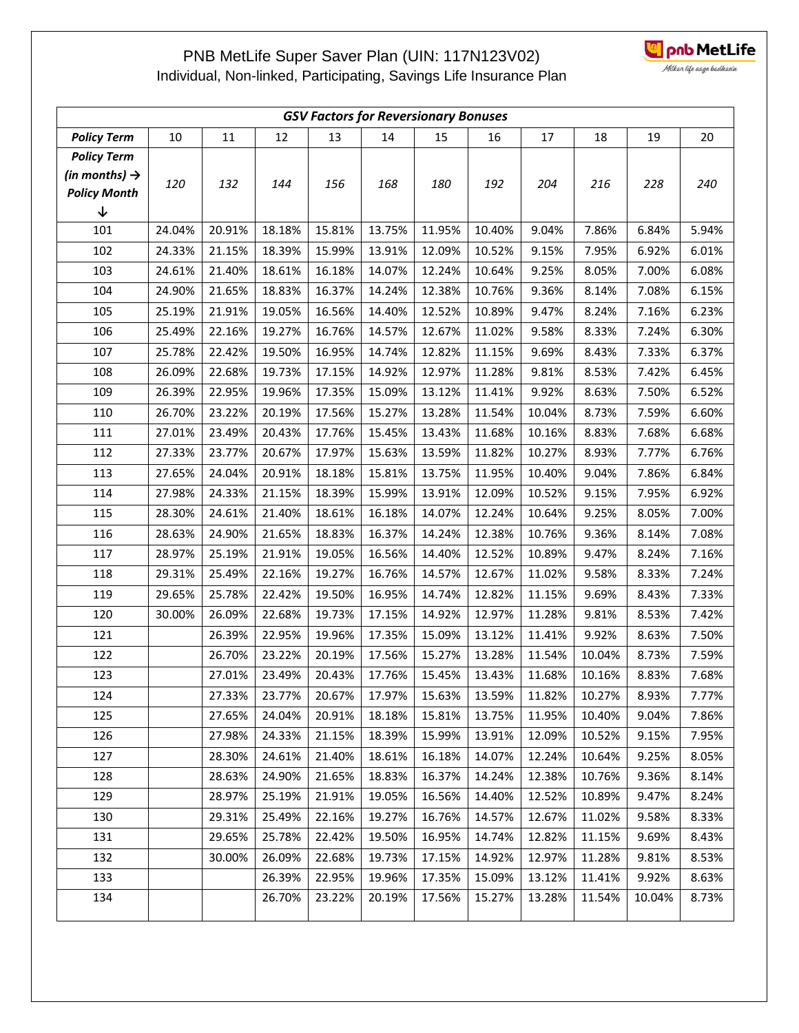

| Milkar life aage badha |  |
|------------------------|--|
|                        |  |

| <b>GSV Factors for Reversionary Bonuses</b> |        |        |        |        |        |        |        |        |        |        |       |
|---------------------------------------------|--------|--------|--------|--------|--------|--------|--------|--------|--------|--------|-------|
| <b>Policy Term</b>                          | 10     | 11     | 12     | 13     | 14     | 15     | 16     | 17     | 18     | 19     | 20    |
| <b>Policy Term</b>                          |        |        |        |        |        |        |        |        |        |        |       |
| (in months) $\rightarrow$                   | 120    | 132    | 144    | 156    | 168    | 180    | 192    | 204    | 216    | 228    | 240   |
| <b>Policy Month</b>                         |        |        |        |        |        |        |        |        |        |        |       |
| ↓                                           |        |        |        |        |        |        |        |        |        |        |       |
| 101                                         | 24.04% | 20.91% | 18.18% | 15.81% | 13.75% | 11.95% | 10.40% | 9.04%  | 7.86%  | 6.84%  | 5.94% |
| 102                                         | 24.33% | 21.15% | 18.39% | 15.99% | 13.91% | 12.09% | 10.52% | 9.15%  | 7.95%  | 6.92%  | 6.01% |
| 103                                         | 24.61% | 21.40% | 18.61% | 16.18% | 14.07% | 12.24% | 10.64% | 9.25%  | 8.05%  | 7.00%  | 6.08% |
| 104                                         | 24.90% | 21.65% | 18.83% | 16.37% | 14.24% | 12.38% | 10.76% | 9.36%  | 8.14%  | 7.08%  | 6.15% |
| 105                                         | 25.19% | 21.91% | 19.05% | 16.56% | 14.40% | 12.52% | 10.89% | 9.47%  | 8.24%  | 7.16%  | 6.23% |
| 106                                         | 25.49% | 22.16% | 19.27% | 16.76% | 14.57% | 12.67% | 11.02% | 9.58%  | 8.33%  | 7.24%  | 6.30% |
| 107                                         | 25.78% | 22.42% | 19.50% | 16.95% | 14.74% | 12.82% | 11.15% | 9.69%  | 8.43%  | 7.33%  | 6.37% |
| 108                                         | 26.09% | 22.68% | 19.73% | 17.15% | 14.92% | 12.97% | 11.28% | 9.81%  | 8.53%  | 7.42%  | 6.45% |
| 109                                         | 26.39% | 22.95% | 19.96% | 17.35% | 15.09% | 13.12% | 11.41% | 9.92%  | 8.63%  | 7.50%  | 6.52% |
| 110                                         | 26.70% | 23.22% | 20.19% | 17.56% | 15.27% | 13.28% | 11.54% | 10.04% | 8.73%  | 7.59%  | 6.60% |
| 111                                         | 27.01% | 23.49% | 20.43% | 17.76% | 15.45% | 13.43% | 11.68% | 10.16% | 8.83%  | 7.68%  | 6.68% |
| 112                                         | 27.33% | 23.77% | 20.67% | 17.97% | 15.63% | 13.59% | 11.82% | 10.27% | 8.93%  | 7.77%  | 6.76% |
| 113                                         | 27.65% | 24.04% | 20.91% | 18.18% | 15.81% | 13.75% | 11.95% | 10.40% | 9.04%  | 7.86%  | 6.84% |
| 114                                         | 27.98% | 24.33% | 21.15% | 18.39% | 15.99% | 13.91% | 12.09% | 10.52% | 9.15%  | 7.95%  | 6.92% |
| 115                                         | 28.30% | 24.61% | 21.40% | 18.61% | 16.18% | 14.07% | 12.24% | 10.64% | 9.25%  | 8.05%  | 7.00% |
| 116                                         | 28.63% | 24.90% | 21.65% | 18.83% | 16.37% | 14.24% | 12.38% | 10.76% | 9.36%  | 8.14%  | 7.08% |
| 117                                         | 28.97% | 25.19% | 21.91% | 19.05% | 16.56% | 14.40% | 12.52% | 10.89% | 9.47%  | 8.24%  | 7.16% |
| 118                                         | 29.31% | 25.49% | 22.16% | 19.27% | 16.76% | 14.57% | 12.67% | 11.02% | 9.58%  | 8.33%  | 7.24% |
| 119                                         | 29.65% | 25.78% | 22.42% | 19.50% | 16.95% | 14.74% | 12.82% | 11.15% | 9.69%  | 8.43%  | 7.33% |
| 120                                         | 30.00% | 26.09% | 22.68% | 19.73% | 17.15% | 14.92% | 12.97% | 11.28% | 9.81%  | 8.53%  | 7.42% |
| 121                                         |        | 26.39% | 22.95% | 19.96% | 17.35% | 15.09% | 13.12% | 11.41% | 9.92%  | 8.63%  | 7.50% |
| 122                                         |        | 26.70% | 23.22% | 20.19% | 17.56% | 15.27% | 13.28% | 11.54% | 10.04% | 8.73%  | 7.59% |
| 123                                         |        | 27.01% | 23.49% | 20.43% | 17.76% | 15.45% | 13.43% | 11.68% | 10.16% | 8.83%  | 7.68% |
| 124                                         |        | 27.33% | 23.77% | 20.67% | 17.97% | 15.63% | 13.59% | 11.82% | 10.27% | 8.93%  | 7.77% |
| 125                                         |        | 27.65% | 24.04% | 20.91% | 18.18% | 15.81% | 13.75% | 11.95% | 10.40% | 9.04%  | 7.86% |
| 126                                         |        | 27.98% | 24.33% | 21.15% | 18.39% | 15.99% | 13.91% | 12.09% | 10.52% | 9.15%  | 7.95% |
| 127                                         |        | 28.30% | 24.61% | 21.40% | 18.61% | 16.18% | 14.07% | 12.24% | 10.64% | 9.25%  | 8.05% |
| 128                                         |        | 28.63% | 24.90% | 21.65% | 18.83% | 16.37% | 14.24% | 12.38% | 10.76% | 9.36%  | 8.14% |
| 129                                         |        | 28.97% | 25.19% | 21.91% | 19.05% | 16.56% | 14.40% | 12.52% | 10.89% | 9.47%  | 8.24% |
| 130                                         |        | 29.31% | 25.49% | 22.16% | 19.27% | 16.76% | 14.57% | 12.67% | 11.02% | 9.58%  | 8.33% |
| 131                                         |        | 29.65% | 25.78% | 22.42% | 19.50% | 16.95% | 14.74% | 12.82% | 11.15% | 9.69%  | 8.43% |
| 132                                         |        | 30.00% | 26.09% | 22.68% | 19.73% | 17.15% | 14.92% | 12.97% | 11.28% | 9.81%  | 8.53% |
| 133                                         |        |        | 26.39% | 22.95% | 19.96% | 17.35% | 15.09% | 13.12% | 11.41% | 9.92%  | 8.63% |
| 134                                         |        |        | 26.70% | 23.22% | 20.19% | 17.56% | 15.27% | 13.28% | 11.54% | 10.04% | 8.73% |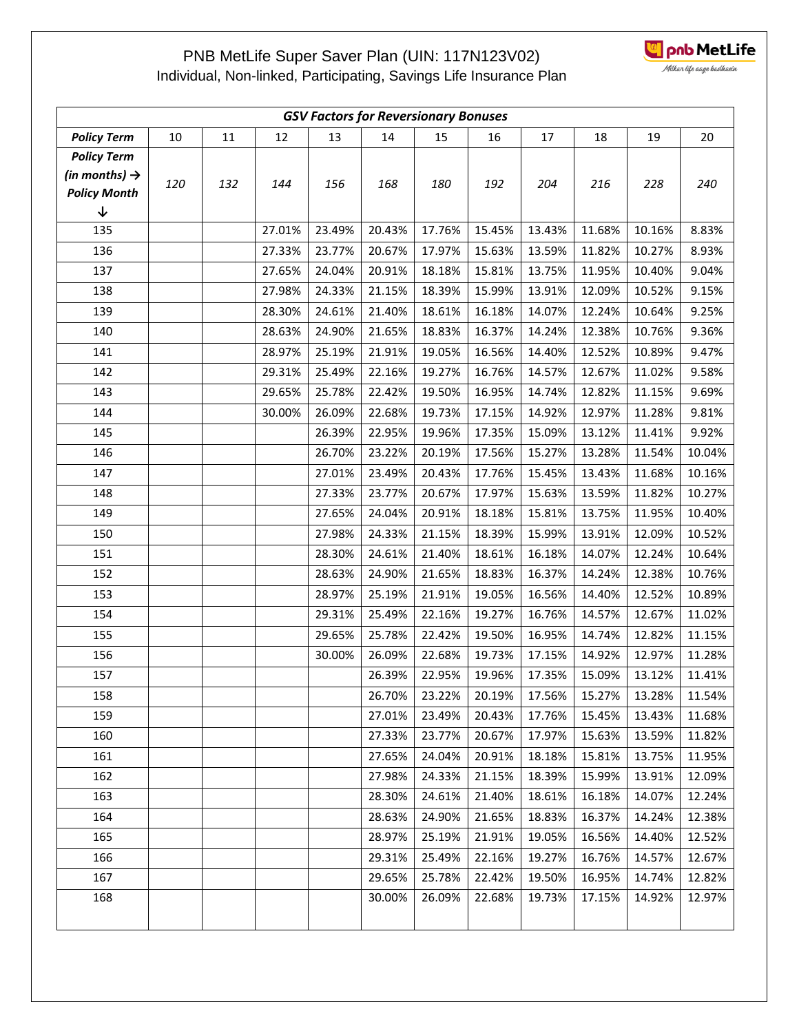

<u>— -</u><br>\_Milkan life aage badhaein\_

| <b>GSV Factors for Reversionary Bonuses</b>                                 |     |        |        |        |        |        |        |        |        |        |        |
|-----------------------------------------------------------------------------|-----|--------|--------|--------|--------|--------|--------|--------|--------|--------|--------|
| <b>Policy Term</b>                                                          | 10  | $11\,$ | 12     | 13     | 14     | 15     | 16     | 17     | 18     | 19     | 20     |
| <b>Policy Term</b><br>(in months) $\rightarrow$<br><b>Policy Month</b><br>↓ | 120 | 132    | 144    | 156    | 168    | 180    | 192    | 204    | 216    | 228    | 240    |
| 135                                                                         |     |        | 27.01% | 23.49% | 20.43% | 17.76% | 15.45% | 13.43% | 11.68% | 10.16% | 8.83%  |
| 136                                                                         |     |        | 27.33% | 23.77% | 20.67% | 17.97% | 15.63% | 13.59% | 11.82% | 10.27% | 8.93%  |
| 137                                                                         |     |        | 27.65% | 24.04% | 20.91% | 18.18% | 15.81% | 13.75% | 11.95% | 10.40% | 9.04%  |
| 138                                                                         |     |        | 27.98% | 24.33% | 21.15% | 18.39% | 15.99% | 13.91% | 12.09% | 10.52% | 9.15%  |
| 139                                                                         |     |        | 28.30% | 24.61% | 21.40% | 18.61% | 16.18% | 14.07% | 12.24% | 10.64% | 9.25%  |
| 140                                                                         |     |        | 28.63% | 24.90% | 21.65% | 18.83% | 16.37% | 14.24% | 12.38% | 10.76% | 9.36%  |
| 141                                                                         |     |        | 28.97% | 25.19% | 21.91% | 19.05% | 16.56% | 14.40% | 12.52% | 10.89% | 9.47%  |
| 142                                                                         |     |        | 29.31% | 25.49% | 22.16% | 19.27% | 16.76% | 14.57% | 12.67% | 11.02% | 9.58%  |
| 143                                                                         |     |        | 29.65% | 25.78% | 22.42% | 19.50% | 16.95% | 14.74% | 12.82% | 11.15% | 9.69%  |
| 144                                                                         |     |        | 30.00% | 26.09% | 22.68% | 19.73% | 17.15% | 14.92% | 12.97% | 11.28% | 9.81%  |
| 145                                                                         |     |        |        | 26.39% | 22.95% | 19.96% | 17.35% | 15.09% | 13.12% | 11.41% | 9.92%  |
| 146                                                                         |     |        |        | 26.70% | 23.22% | 20.19% | 17.56% | 15.27% | 13.28% | 11.54% | 10.04% |
| 147                                                                         |     |        |        | 27.01% | 23.49% | 20.43% | 17.76% | 15.45% | 13.43% | 11.68% | 10.16% |
| 148                                                                         |     |        |        | 27.33% | 23.77% | 20.67% | 17.97% | 15.63% | 13.59% | 11.82% | 10.27% |
| 149                                                                         |     |        |        | 27.65% | 24.04% | 20.91% | 18.18% | 15.81% | 13.75% | 11.95% | 10.40% |
| 150                                                                         |     |        |        | 27.98% | 24.33% | 21.15% | 18.39% | 15.99% | 13.91% | 12.09% | 10.52% |
| 151                                                                         |     |        |        | 28.30% | 24.61% | 21.40% | 18.61% | 16.18% | 14.07% | 12.24% | 10.64% |
| 152                                                                         |     |        |        | 28.63% | 24.90% | 21.65% | 18.83% | 16.37% | 14.24% | 12.38% | 10.76% |
| 153                                                                         |     |        |        | 28.97% | 25.19% | 21.91% | 19.05% | 16.56% | 14.40% | 12.52% | 10.89% |
| 154                                                                         |     |        |        | 29.31% | 25.49% | 22.16% | 19.27% | 16.76% | 14.57% | 12.67% | 11.02% |
| 155                                                                         |     |        |        | 29.65% | 25.78% | 22.42% | 19.50% | 16.95% | 14.74% | 12.82% | 11.15% |
| 156                                                                         |     |        |        | 30.00% | 26.09% | 22.68% | 19.73% | 17.15% | 14.92% | 12.97% | 11.28% |
| 157                                                                         |     |        |        |        | 26.39% | 22.95% | 19.96% | 17.35% | 15.09% | 13.12% | 11.41% |
| 158                                                                         |     |        |        |        | 26.70% | 23.22% | 20.19% | 17.56% | 15.27% | 13.28% | 11.54% |
| 159                                                                         |     |        |        |        | 27.01% | 23.49% | 20.43% | 17.76% | 15.45% | 13.43% | 11.68% |
| 160                                                                         |     |        |        |        | 27.33% | 23.77% | 20.67% | 17.97% | 15.63% | 13.59% | 11.82% |
| 161                                                                         |     |        |        |        | 27.65% | 24.04% | 20.91% | 18.18% | 15.81% | 13.75% | 11.95% |
| 162                                                                         |     |        |        |        | 27.98% | 24.33% | 21.15% | 18.39% | 15.99% | 13.91% | 12.09% |
| 163                                                                         |     |        |        |        | 28.30% | 24.61% | 21.40% | 18.61% | 16.18% | 14.07% | 12.24% |
| 164                                                                         |     |        |        |        | 28.63% | 24.90% | 21.65% | 18.83% | 16.37% | 14.24% | 12.38% |
| 165                                                                         |     |        |        |        | 28.97% | 25.19% | 21.91% | 19.05% | 16.56% | 14.40% | 12.52% |
| 166                                                                         |     |        |        |        | 29.31% | 25.49% | 22.16% | 19.27% | 16.76% | 14.57% | 12.67% |
| 167                                                                         |     |        |        |        | 29.65% | 25.78% | 22.42% | 19.50% | 16.95% | 14.74% | 12.82% |
| 168                                                                         |     |        |        |        | 30.00% | 26.09% | 22.68% | 19.73% | 17.15% | 14.92% | 12.97% |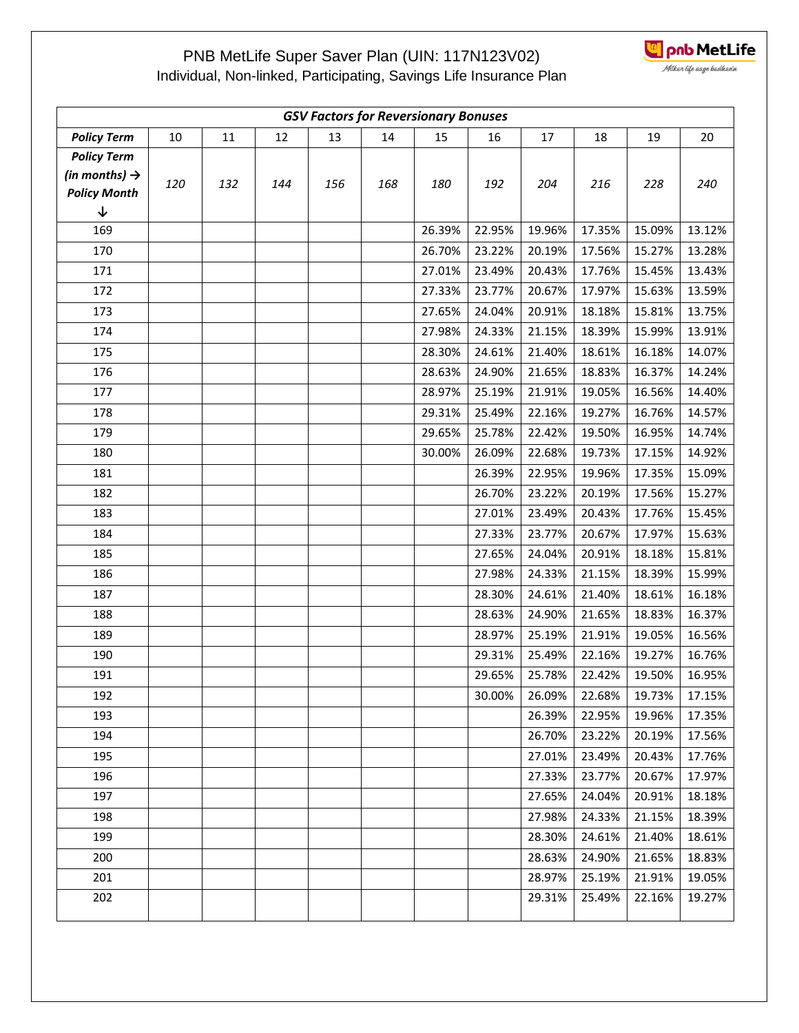

<u>— -</u><br>\_Milkan life aage badhaein\_

| <b>GSV Factors for Reversionary Bonuses</b>                                            |     |     |     |     |     |        |        |        |        |        |        |
|----------------------------------------------------------------------------------------|-----|-----|-----|-----|-----|--------|--------|--------|--------|--------|--------|
| <b>Policy Term</b>                                                                     | 10  | 11  | 12  | 13  | 14  | 15     | 16     | 17     | 18     | 19     | 20     |
| <b>Policy Term</b><br>(in months) $\rightarrow$<br><b>Policy Month</b><br>$\downarrow$ | 120 | 132 | 144 | 156 | 168 | 180    | 192    | 204    | 216    | 228    | 240    |
| 169                                                                                    |     |     |     |     |     | 26.39% | 22.95% | 19.96% | 17.35% | 15.09% | 13.12% |
| 170                                                                                    |     |     |     |     |     | 26.70% | 23.22% | 20.19% | 17.56% | 15.27% | 13.28% |
| 171                                                                                    |     |     |     |     |     | 27.01% | 23.49% | 20.43% | 17.76% | 15.45% | 13.43% |
| 172                                                                                    |     |     |     |     |     | 27.33% | 23.77% | 20.67% | 17.97% | 15.63% | 13.59% |
| 173                                                                                    |     |     |     |     |     | 27.65% | 24.04% | 20.91% | 18.18% | 15.81% | 13.75% |
| 174                                                                                    |     |     |     |     |     | 27.98% | 24.33% | 21.15% | 18.39% | 15.99% | 13.91% |
| 175                                                                                    |     |     |     |     |     | 28.30% | 24.61% | 21.40% | 18.61% | 16.18% | 14.07% |
| 176                                                                                    |     |     |     |     |     | 28.63% | 24.90% | 21.65% | 18.83% | 16.37% | 14.24% |
| 177                                                                                    |     |     |     |     |     | 28.97% | 25.19% | 21.91% | 19.05% | 16.56% | 14.40% |
| 178                                                                                    |     |     |     |     |     | 29.31% | 25.49% | 22.16% | 19.27% | 16.76% | 14.57% |
| 179                                                                                    |     |     |     |     |     | 29.65% | 25.78% | 22.42% | 19.50% | 16.95% | 14.74% |
| 180                                                                                    |     |     |     |     |     | 30.00% | 26.09% | 22.68% | 19.73% | 17.15% | 14.92% |
| 181                                                                                    |     |     |     |     |     |        | 26.39% | 22.95% | 19.96% | 17.35% | 15.09% |
| 182                                                                                    |     |     |     |     |     |        | 26.70% | 23.22% | 20.19% | 17.56% | 15.27% |
| 183                                                                                    |     |     |     |     |     |        | 27.01% | 23.49% | 20.43% | 17.76% | 15.45% |
| 184                                                                                    |     |     |     |     |     |        | 27.33% | 23.77% | 20.67% | 17.97% | 15.63% |
| 185                                                                                    |     |     |     |     |     |        | 27.65% | 24.04% | 20.91% | 18.18% | 15.81% |
| 186                                                                                    |     |     |     |     |     |        | 27.98% | 24.33% | 21.15% | 18.39% | 15.99% |
| 187                                                                                    |     |     |     |     |     |        | 28.30% | 24.61% | 21.40% | 18.61% | 16.18% |
| 188                                                                                    |     |     |     |     |     |        | 28.63% | 24.90% | 21.65% | 18.83% | 16.37% |
| 189                                                                                    |     |     |     |     |     |        | 28.97% | 25.19% | 21.91% | 19.05% | 16.56% |
| 190                                                                                    |     |     |     |     |     |        | 29.31% | 25.49% | 22.16% | 19.27% | 16.76% |
| 191                                                                                    |     |     |     |     |     |        | 29.65% | 25.78% | 22.42% | 19.50% | 16.95% |
| 192                                                                                    |     |     |     |     |     |        | 30.00% | 26.09% | 22.68% | 19.73% | 17.15% |
| 193                                                                                    |     |     |     |     |     |        |        | 26.39% | 22.95% | 19.96% | 17.35% |
| 194                                                                                    |     |     |     |     |     |        |        | 26.70% | 23.22% | 20.19% | 17.56% |
| 195                                                                                    |     |     |     |     |     |        |        | 27.01% | 23.49% | 20.43% | 17.76% |
| 196                                                                                    |     |     |     |     |     |        |        | 27.33% | 23.77% | 20.67% | 17.97% |
| 197                                                                                    |     |     |     |     |     |        |        | 27.65% | 24.04% | 20.91% | 18.18% |
| 198                                                                                    |     |     |     |     |     |        |        | 27.98% | 24.33% | 21.15% | 18.39% |
| 199                                                                                    |     |     |     |     |     |        |        | 28.30% | 24.61% | 21.40% | 18.61% |
| 200                                                                                    |     |     |     |     |     |        |        | 28.63% | 24.90% | 21.65% | 18.83% |
| 201                                                                                    |     |     |     |     |     |        |        | 28.97% | 25.19% | 21.91% | 19.05% |
| 202                                                                                    |     |     |     |     |     |        |        | 29.31% | 25.49% | 22.16% | 19.27% |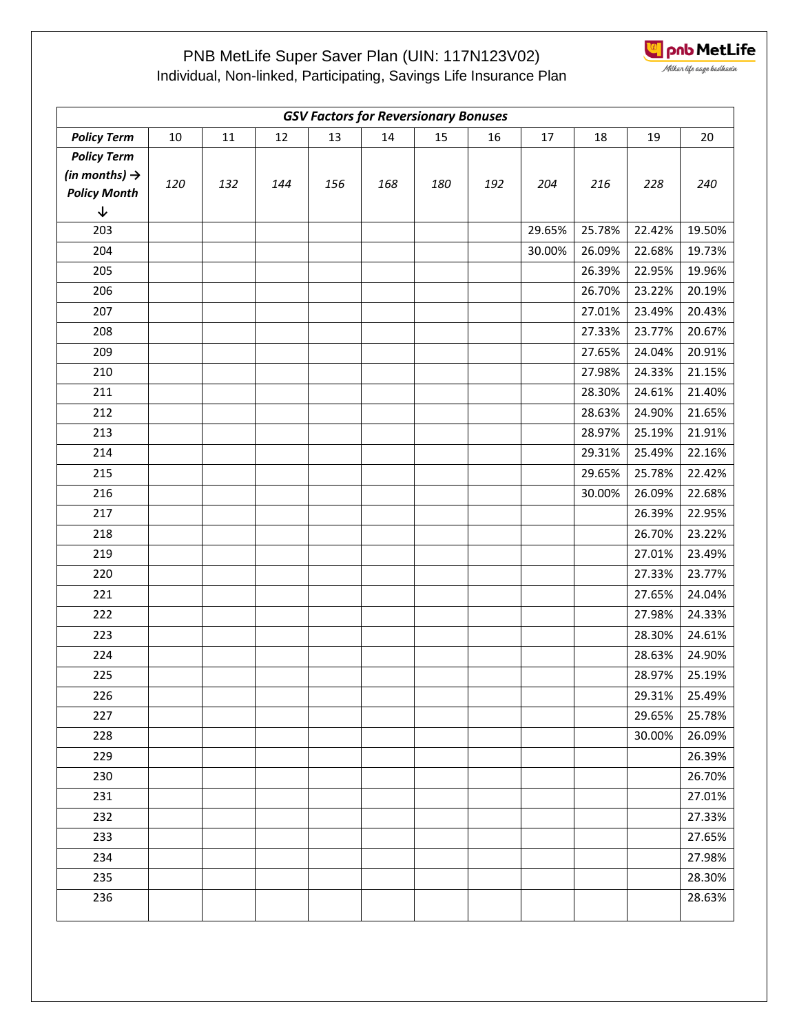

<u>— -</u><br>\_Milkan life aage badhaein\_

| <b>GSV Factors for Reversionary Bonuses</b>                                            |        |        |     |     |     |     |     |        |        |        |        |
|----------------------------------------------------------------------------------------|--------|--------|-----|-----|-----|-----|-----|--------|--------|--------|--------|
| <b>Policy Term</b>                                                                     | $10\,$ | $11\,$ | 12  | 13  | 14  | 15  | 16  | 17     | 18     | 19     | 20     |
| <b>Policy Term</b><br>(in months) $\rightarrow$<br><b>Policy Month</b><br>$\downarrow$ | 120    | 132    | 144 | 156 | 168 | 180 | 192 | 204    | 216    | 228    | 240    |
| 203                                                                                    |        |        |     |     |     |     |     | 29.65% | 25.78% | 22.42% | 19.50% |
| 204                                                                                    |        |        |     |     |     |     |     | 30.00% | 26.09% | 22.68% | 19.73% |
| 205                                                                                    |        |        |     |     |     |     |     |        | 26.39% | 22.95% | 19.96% |
| 206                                                                                    |        |        |     |     |     |     |     |        | 26.70% | 23.22% | 20.19% |
| 207                                                                                    |        |        |     |     |     |     |     |        | 27.01% | 23.49% | 20.43% |
| 208                                                                                    |        |        |     |     |     |     |     |        | 27.33% | 23.77% | 20.67% |
| 209                                                                                    |        |        |     |     |     |     |     |        | 27.65% | 24.04% | 20.91% |
| 210                                                                                    |        |        |     |     |     |     |     |        | 27.98% | 24.33% | 21.15% |
| 211                                                                                    |        |        |     |     |     |     |     |        | 28.30% | 24.61% | 21.40% |
| 212                                                                                    |        |        |     |     |     |     |     |        | 28.63% | 24.90% | 21.65% |
| 213                                                                                    |        |        |     |     |     |     |     |        | 28.97% | 25.19% | 21.91% |
| 214                                                                                    |        |        |     |     |     |     |     |        | 29.31% | 25.49% | 22.16% |
| 215                                                                                    |        |        |     |     |     |     |     |        | 29.65% | 25.78% | 22.42% |
| 216                                                                                    |        |        |     |     |     |     |     |        | 30.00% | 26.09% | 22.68% |
| 217                                                                                    |        |        |     |     |     |     |     |        |        | 26.39% | 22.95% |
| 218                                                                                    |        |        |     |     |     |     |     |        |        | 26.70% | 23.22% |
| 219                                                                                    |        |        |     |     |     |     |     |        |        | 27.01% | 23.49% |
| 220                                                                                    |        |        |     |     |     |     |     |        |        | 27.33% | 23.77% |
| 221                                                                                    |        |        |     |     |     |     |     |        |        | 27.65% | 24.04% |
| 222                                                                                    |        |        |     |     |     |     |     |        |        | 27.98% | 24.33% |
| 223                                                                                    |        |        |     |     |     |     |     |        |        | 28.30% | 24.61% |
| 224                                                                                    |        |        |     |     |     |     |     |        |        | 28.63% | 24.90% |
| 225                                                                                    |        |        |     |     |     |     |     |        |        | 28.97% | 25.19% |
| 226                                                                                    |        |        |     |     |     |     |     |        |        | 29.31% | 25.49% |
| 227                                                                                    |        |        |     |     |     |     |     |        |        | 29.65% | 25.78% |
| 228                                                                                    |        |        |     |     |     |     |     |        |        | 30.00% | 26.09% |
| 229                                                                                    |        |        |     |     |     |     |     |        |        |        | 26.39% |
| 230                                                                                    |        |        |     |     |     |     |     |        |        |        | 26.70% |
| 231                                                                                    |        |        |     |     |     |     |     |        |        |        | 27.01% |
| 232                                                                                    |        |        |     |     |     |     |     |        |        |        | 27.33% |
| 233                                                                                    |        |        |     |     |     |     |     |        |        |        | 27.65% |
| 234                                                                                    |        |        |     |     |     |     |     |        |        |        | 27.98% |
| 235                                                                                    |        |        |     |     |     |     |     |        |        |        | 28.30% |
| 236                                                                                    |        |        |     |     |     |     |     |        |        |        | 28.63% |